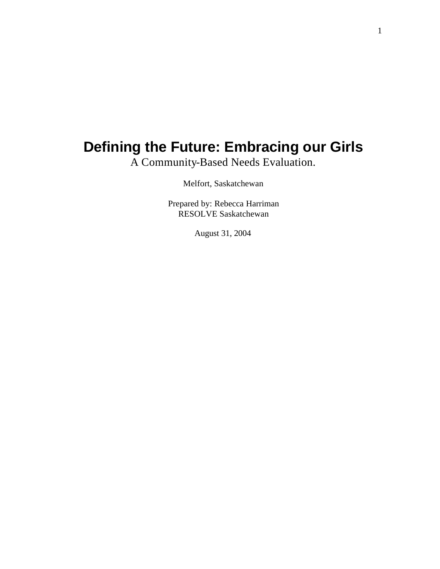# **Defining the Future: Embracing our Girls**

A Community-Based Needs Evaluation.

Melfort, Saskatchewan

Prepared by: Rebecca Harriman RESOLVE Saskatchewan

August 31, 2004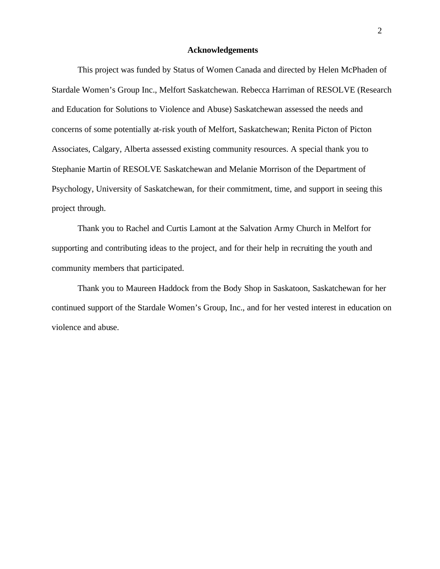### **Acknowledgements**

This project was funded by Status of Women Canada and directed by Helen McPhaden of Stardale Women's Group Inc., Melfort Saskatchewan. Rebecca Harriman of RESOLVE (Research and Education for Solutions to Violence and Abuse) Saskatchewan assessed the needs and concerns of some potentially at-risk youth of Melfort, Saskatchewan; Renita Picton of Picton Associates, Calgary, Alberta assessed existing community resources. A special thank you to Stephanie Martin of RESOLVE Saskatchewan and Melanie Morrison of the Department of Psychology, University of Saskatchewan, for their commitment, time, and support in seeing this project through.

Thank you to Rachel and Curtis Lamont at the Salvation Army Church in Melfort for supporting and contributing ideas to the project, and for their help in recruiting the youth and community members that participated.

Thank you to Maureen Haddock from the Body Shop in Saskatoon, Saskatchewan for her continued support of the Stardale Women's Group, Inc., and for her vested interest in education on violence and abuse.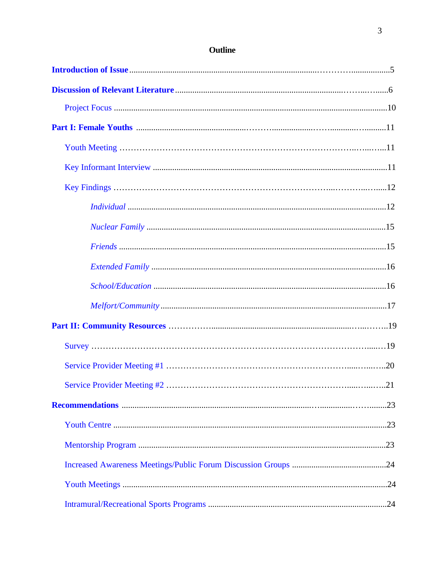# Outline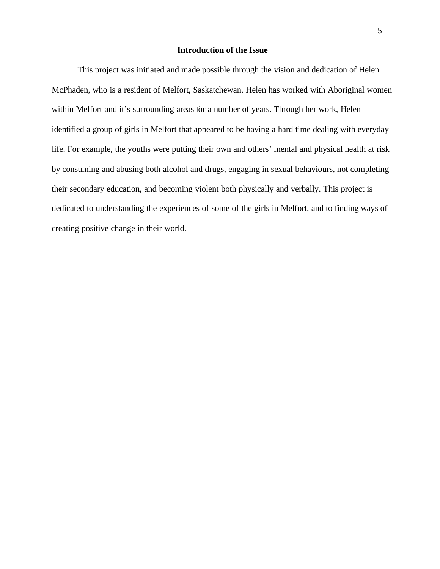### **Introduction of the Issue**

<span id="page-4-0"></span>This project was initiated and made possible through the vision and dedication of Helen McPhaden, who is a resident of Melfort, Saskatchewan. Helen has worked with Aboriginal women within Melfort and it's surrounding areas for a number of years. Through her work, Helen identified a group of girls in Melfort that appeared to be having a hard time dealing with everyday life. For example, the youths were putting their own and others' mental and physical health at risk by consuming and abusing both alcohol and drugs, engaging in sexual behaviours, not completing their secondary education, and becoming violent both physically and verbally. This project is dedicated to understanding the experiences of some of the girls in Melfort, and to finding ways of creating positive change in their world.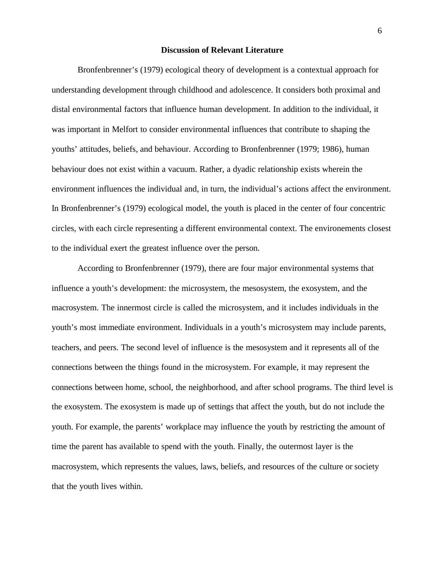### **Discussion of Relevant Literature**

<span id="page-5-0"></span>Bronfenbrenner's (1979) ecological theory of development is a contextual approach for understanding development through childhood and adolescence. It considers both proximal and distal environmental factors that influence human development. In addition to the individual, it was important in Melfort to consider environmental influences that contribute to shaping the youths' attitudes, beliefs, and behaviour. According to Bronfenbrenner (1979; 1986), human behaviour does not exist within a vacuum. Rather, a dyadic relationship exists wherein the environment influences the individual and, in turn, the individual's actions affect the environment. In Bronfenbrenner's (1979) ecological model, the youth is placed in the center of four concentric circles, with each circle representing a different environmental context. The environements closest to the individual exert the greatest influence over the person.

According to Bronfenbrenner (1979), there are four major environmental systems that influence a youth's development: the microsystem, the mesosystem, the exosystem, and the macrosystem. The innermost circle is called the microsystem, and it includes individuals in the youth's most immediate environment. Individuals in a youth's microsystem may include parents, teachers, and peers. The second level of influence is the mesosystem and it represents all of the connections between the things found in the microsystem. For example, it may represent the connections between home, school, the neighborhood, and after school programs. The third level is the exosystem. The exosystem is made up of settings that affect the youth, but do not include the youth. For example, the parents' workplace may influence the youth by restricting the amount of time the parent has available to spend with the youth. Finally, the outermost layer is the macrosystem, which represents the values, laws, beliefs, and resources of the culture or society that the youth lives within.

6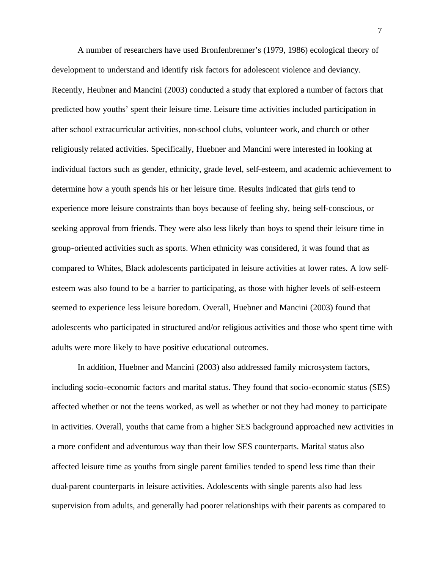A number of researchers have used Bronfenbrenner's (1979, 1986) ecological theory of development to understand and identify risk factors for adolescent violence and deviancy. Recently, Heubner and Mancini (2003) conducted a study that explored a number of factors that predicted how youths' spent their leisure time. Leisure time activities included participation in after school extracurricular activities, non-school clubs, volunteer work, and church or other religiously related activities. Specifically, Huebner and Mancini were interested in looking at individual factors such as gender, ethnicity, grade level, self-esteem, and academic achievement to determine how a youth spends his or her leisure time. Results indicated that girls tend to experience more leisure constraints than boys because of feeling shy, being self-conscious, or seeking approval from friends. They were also less likely than boys to spend their leisure time in group-oriented activities such as sports. When ethnicity was considered, it was found that as compared to Whites, Black adolescents participated in leisure activities at lower rates. A low selfesteem was also found to be a barrier to participating, as those with higher levels of self-esteem seemed to experience less leisure boredom. Overall, Huebner and Mancini (2003) found that adolescents who participated in structured and/or religious activities and those who spent time with adults were more likely to have positive educational outcomes.

In addition, Huebner and Mancini (2003) also addressed family microsystem factors, including socio-economic factors and marital status. They found that socio-economic status (SES) affected whether or not the teens worked, as well as whether or not they had money to participate in activities. Overall, youths that came from a higher SES background approached new activities in a more confident and adventurous way than their low SES counterparts. Marital status also affected leisure time as youths from single parent families tended to spend less time than their dual-parent counterparts in leisure activities. Adolescents with single parents also had less supervision from adults, and generally had poorer relationships with their parents as compared to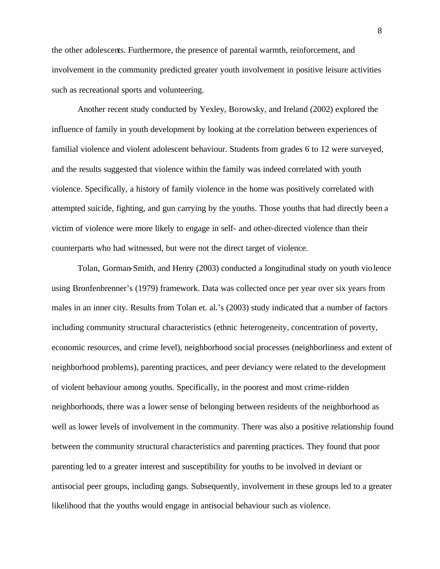the other adolescents. Furthermore, the presence of parental warmth, reinforcement, and involvement in the community predicted greater youth involvement in positive leisure activities such as recreational sports and volunteering.

Another recent study conducted by Yexley, Borowsky, and Ireland (2002) explored the influence of family in youth development by looking at the correlation between experiences of familial violence and violent adolescent behaviour. Students from grades 6 to 12 were surveyed, and the results suggested that violence within the family was indeed correlated with youth violence. Specifically, a history of family violence in the home was positively correlated with attempted suicide, fighting, and gun carrying by the youths. Those youths that had directly been a victim of violence were more likely to engage in self- and other-directed violence than their counterparts who had witnessed, but were not the direct target of violence.

Tolan, Gorman-Smith, and Henry (2003) conducted a longitudinal study on youth violence using Bronfenbrenner's (1979) framework. Data was collected once per year over six years from males in an inner city. Results from Tolan et. al.'s (2003) study indicated that a number of factors including community structural characteristics (ethnic heterogeneity, concentration of poverty, economic resources, and crime level), neighborhood social processes (neighborliness and extent of neighborhood problems), parenting practices, and peer deviancy were related to the development of violent behaviour among youths. Specifically, in the poorest and most crime-ridden neighborhoods, there was a lower sense of belonging between residents of the neighborhood as well as lower levels of involvement in the community. There was also a positive relationship found between the community structural characteristics and parenting practices. They found that poor parenting led to a greater interest and susceptibility for youths to be involved in deviant or antisocial peer groups, including gangs. Subsequently, involvement in these groups led to a greater likelihood that the youths would engage in antisocial behaviour such as violence.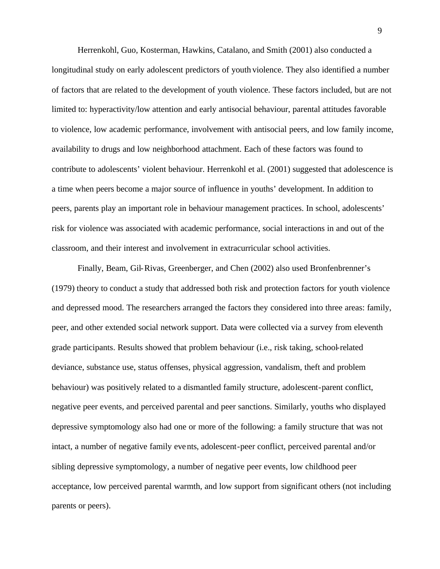Herrenkohl, Guo, Kosterman, Hawkins, Catalano, and Smith (2001) also conducted a longitudinal study on early adolescent predictors of youth violence. They also identified a number of factors that are related to the development of youth violence. These factors included, but are not limited to: hyperactivity/low attention and early antisocial behaviour, parental attitudes favorable to violence, low academic performance, involvement with antisocial peers, and low family income, availability to drugs and low neighborhood attachment. Each of these factors was found to contribute to adolescents' violent behaviour. Herrenkohl et al. (2001) suggested that adolescence is a time when peers become a major source of influence in youths' development. In addition to peers, parents play an important role in behaviour management practices. In school, adolescents' risk for violence was associated with academic performance, social interactions in and out of the classroom, and their interest and involvement in extracurricular school activities.

Finally, Beam, Gil-Rivas, Greenberger, and Chen (2002) also used Bronfenbrenner's (1979) theory to conduct a study that addressed both risk and protection factors for youth violence and depressed mood. The researchers arranged the factors they considered into three areas: family, peer, and other extended social network support. Data were collected via a survey from eleventh grade participants. Results showed that problem behaviour (i.e., risk taking, school-related deviance, substance use, status offenses, physical aggression, vandalism, theft and problem behaviour) was positively related to a dismantled family structure, adolescent-parent conflict, negative peer events, and perceived parental and peer sanctions. Similarly, youths who displayed depressive symptomology also had one or more of the following: a family structure that was not intact, a number of negative family events, adolescent-peer conflict, perceived parental and/or sibling depressive symptomology, a number of negative peer events, low childhood peer acceptance, low perceived parental warmth, and low support from significant others (not including parents or peers).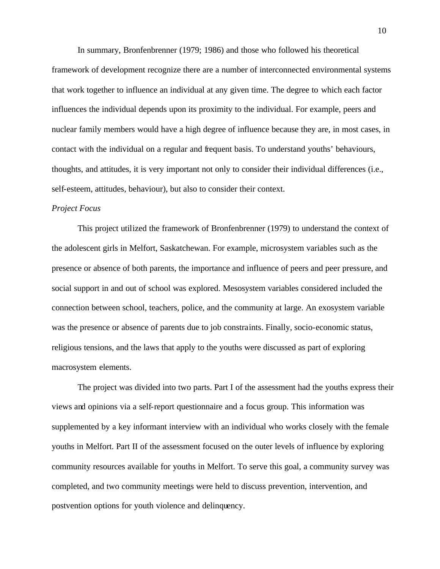In summary, Bronfenbrenner (1979; 1986) and those who followed his theoretical framework of development recognize there are a number of interconnected environmental systems that work together to influence an individual at any given time. The degree to which each factor influences the individual depends upon its proximity to the individual. For example, peers and nuclear family members would have a high degree of influence because they are, in most cases, in contact with the individual on a regular and frequent basis. To understand youths' behaviours, thoughts, and attitudes, it is very important not only to consider their individual differences (i.e., self-esteem, attitudes, behaviour), but also to consider their context.

#### *Project Focus*

This project utilized the framework of Bronfenbrenner (1979) to understand the context of the adolescent girls in Melfort, Saskatchewan. For example, microsystem variables such as the presence or absence of both parents, the importance and influence of peers and peer pressure, and social support in and out of school was explored. Mesosystem variables considered included the connection between school, teachers, police, and the community at large. An exosystem variable was the presence or absence of parents due to job constraints. Finally, socio-economic status, religious tensions, and the laws that apply to the youths were discussed as part of exploring macrosystem elements.

The project was divided into two parts. Part I of the assessment had the youths express their views and opinions via a self-report questionnaire and a focus group. This information was supplemented by a key informant interview with an individual who works closely with the female youths in Melfort. Part II of the assessment focused on the outer levels of influence by exploring community resources available for youths in Melfort. To serve this goal, a community survey was completed, and two community meetings were held to discuss prevention, intervention, and postvention options for youth violence and delinquency.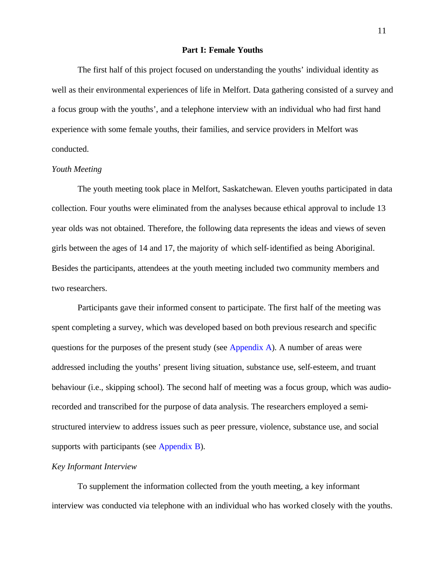### **Part I: Female Youths**

<span id="page-10-0"></span>The first half of this project focused on understanding the youths' individual identity as well as their environmental experiences of life in Melfort. Data gathering consisted of a survey and a focus group with the youths', and a telephone interview with an individual who had first hand experience with some female youths, their families, and service providers in Melfort was conducted.

### *Youth Meeting*

The youth meeting took place in Melfort, Saskatchewan. Eleven youths participated in data collection. Four youths were eliminated from the analyses because ethical approval to include 13 year olds was not obtained. Therefore, the following data represents the ideas and views of seven girls between the ages of 14 and 17, the majority of which self-identified as being Aboriginal. Besides the participants, attendees at the youth meeting included two community members and two researchers.

Participants gave their informed consent to participate. The first half of the meeting was spent completing a survey, which was developed based on both previous research and specific questions for the purposes of the present study (see [Appendix A](#page-28-0)). A number of areas were addressed including the youths' present living situation, substance use, self-esteem, and truant behaviour (i.e., skipping school). The second half of meeting was a focus group, which was audiorecorded and transcribed for the purpose of data analysis. The researchers employed a semistructured interview to address issues such as peer pressure, violence, substance use, and social supports with participants (see [Appendix B\)](#page-32-0).

### *Key Informant Interview*

To supplement the information collected from the youth meeting, a key informant interview was conducted via telephone with an individual who has worked closely with the youths.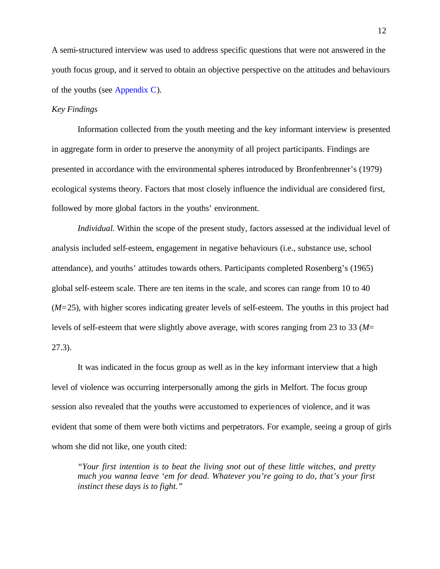A semi-structured interview was used to address specific questions that were not answered in the youth focus group, and it served to obtain an objective perspective on the attitudes and behaviours of the youths (see [Appendix C](#page-33-0)).

### *Key Findings*

Information collected from the youth meeting and the key informant interview is presented in aggregate form in order to preserve the anonymity of all project participants. Findings are presented in accordance with the environmental spheres introduced by Bronfenbrenner's (1979) ecological systems theory. Factors that most closely influence the individual are considered first, followed by more global factors in the youths' environment.

*Individual.* Within the scope of the present study, factors assessed at the individual level of analysis included self-esteem, engagement in negative behaviours (i.e., substance use, school attendance), and youths' attitudes towards others. Participants completed Rosenberg's (1965) global self-esteem scale. There are ten items in the scale, and scores can range from 10 to 40 (*M=*25), with higher scores indicating greater levels of self-esteem. The youths in this project had levels of self-esteem that were slightly above average, with scores ranging from 23 to 33 (*M*= 27.3).

It was indicated in the focus group as well as in the key informant interview that a high level of violence was occurring interpersonally among the girls in Melfort. The focus group session also revealed that the youths were accustomed to experiences of violence, and it was evident that some of them were both victims and perpetrators. For example, seeing a group of girls whom she did not like, one youth cited:

*"Your first intention is to beat the living snot out of these little witches, and pretty much you wanna leave 'em for dead. Whatever you're going to do, that's your first instinct these days is to fight."*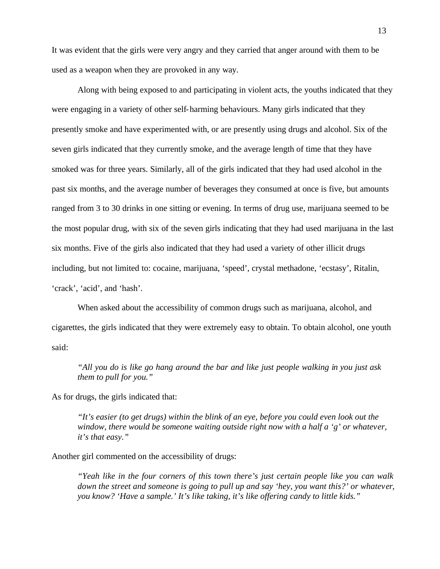It was evident that the girls were very angry and they carried that anger around with them to be used as a weapon when they are provoked in any way.

Along with being exposed to and participating in violent acts, the youths indicated that they were engaging in a variety of other self-harming behaviours. Many girls indicated that they presently smoke and have experimented with, or are presently using drugs and alcohol. Six of the seven girls indicated that they currently smoke, and the average length of time that they have smoked was for three years. Similarly, all of the girls indicated that they had used alcohol in the past six months, and the average number of beverages they consumed at once is five, but amounts ranged from 3 to 30 drinks in one sitting or evening. In terms of drug use, marijuana seemed to be the most popular drug, with six of the seven girls indicating that they had used marijuana in the last six months. Five of the girls also indicated that they had used a variety of other illicit drugs including, but not limited to: cocaine, marijuana, 'speed', crystal methadone, 'ecstasy', Ritalin, 'crack', 'acid', and 'hash'.

When asked about the accessibility of common drugs such as marijuana, alcohol, and cigarettes, the girls indicated that they were extremely easy to obtain. To obtain alcohol, one youth said:

*"All you do is like go hang around the bar and like just people walking in you just ask them to pull for you."* 

As for drugs, the girls indicated that:

*"It's easier (to get drugs) within the blink of an eye, before you could even look out the window, there would be someone waiting outside right now with a half a 'g' or whatever, it's that easy."* 

Another girl commented on the accessibility of drugs:

*"Yeah like in the four corners of this town there's just certain people like you can walk down the street and someone is going to pull up and say 'hey, you want this?' or whatever, you know? 'Have a sample.' It's like taking, it's like offering candy to little kids."*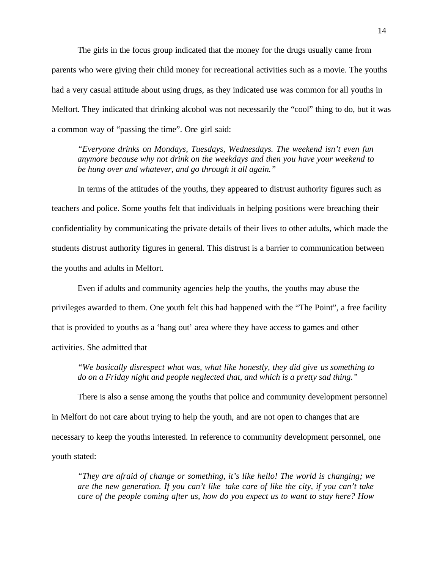The girls in the focus group indicated that the money for the drugs usually came from parents who were giving their child money for recreational activities such as a movie. The youths had a very casual attitude about using drugs, as they indicated use was common for all youths in Melfort. They indicated that drinking alcohol was not necessarily the "cool" thing to do, but it was a common way of "passing the time". One girl said:

*"Everyone drinks on Mondays, Tuesdays, Wednesdays. The weekend isn't even fun anymore because why not drink on the weekdays and then you have your weekend to be hung over and whatever, and go through it all again."* 

In terms of the attitudes of the youths, they appeared to distrust authority figures such as teachers and police. Some youths felt that individuals in helping positions were breaching their confidentiality by communicating the private details of their lives to other adults, which made the students distrust authority figures in general. This distrust is a barrier to communication between the youths and adults in Melfort.

Even if adults and community agencies help the youths, the youths may abuse the privileges awarded to them. One youth felt this had happened with the "The Point", a free facility that is provided to youths as a 'hang out' area where they have access to games and other activities. She admitted that

*"We basically disrespect what was, what like honestly, they did give us something to do on a Friday night and people neglected that, and which is a pretty sad thing."*

There is also a sense among the youths that police and community development personnel in Melfort do not care about trying to help the youth, and are not open to changes that are necessary to keep the youths interested. In reference to community development personnel, one youth stated:

*"They are afraid of change or something, it's like hello! The world is changing; we are the new generation. If you can't like take care of like the city, if you can't take care of the people coming after us, how do you expect us to want to stay here? How*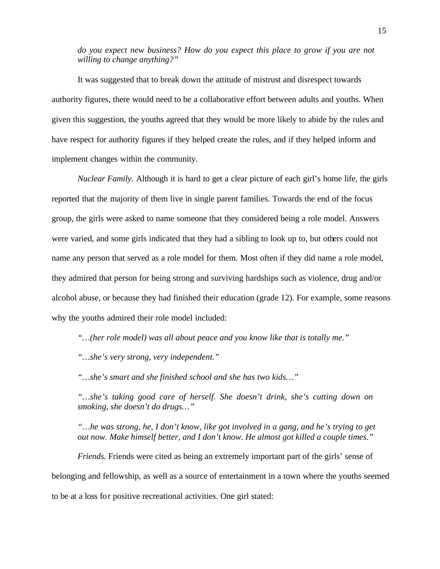*do you expect new business? How do you expect this place to grow if you are not willing to change anything?"*

It was suggested that to break down the attitude of mistrust and disrespect towards authority figures, there would need to be a collaborative effort between adults and youths. When given this suggestion, the youths agreed that they would be more likely to abide by the rules and have respect for authority figures if they helped create the rules, and if they helped inform and implement changes within the community.

*Nuclear Family.* Although it is hard to get a clear picture of each girl's home life, the girls reported that the majority of them live in single parent families. Towards the end of the focus group, the girls were asked to name someone that they considered being a role model. Answers were varied, and some girls indicated that they had a sibling to look up to, but others could not name any person that served as a role model for them. Most often if they did name a role model, they admired that person for being strong and surviving hardships such as violence, drug and/or alcohol abuse, or because they had finished their education (grade 12). For example, some reasons why the youths admired their role model included:

*"…(her role model) was all about peace and you know like that is totally me."*

*"…she's very strong, very independent."*

*"…she's smart and she finished school and she has two kids…"*

*"…she's taking good care of herself. She doesn't drink, she's cutting down on smoking, she doesn't do drugs…"*

*"…he was strong, he, I don't know, like got involved in a gang, and he's trying to get out now. Make himself better, and I don't know. He almost got killed a couple times."*

*Friends.* Friends were cited as being an extremely important part of the girls' sense of belonging and fellowship, as well as a source of entertainment in a town where the youths seemed to be at a loss for positive recreational activities. One girl stated: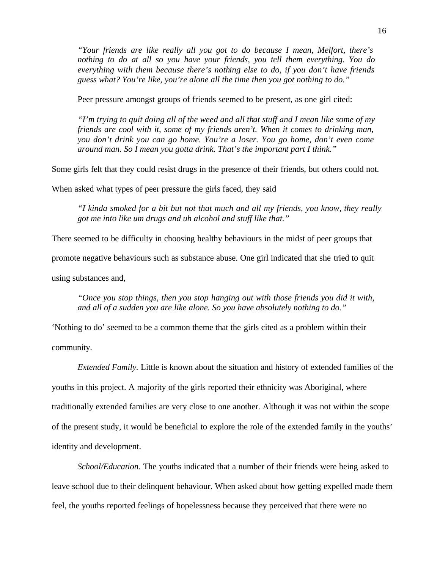*"Your friends are like really all you got to do because I mean, Melfort, there's nothing to do at all so you have your friends, you tell them everything. You do everything with them because there's nothing else to do, if you don't have friends guess what? You're like, you're alone all the time then you got nothing to do."*

Peer pressure amongst groups of friends seemed to be present, as one girl cited:

*"I'm trying to quit doing all of the weed and all that stuff and I mean like some of my friends are cool with it, some of my friends aren't. When it comes to drinking man, you don't drink you can go home. You're a loser. You go home, don't even come around man. So I mean you gotta drink. That's the important part I think."* 

Some girls felt that they could resist drugs in the presence of their friends, but others could not.

When asked what types of peer pressure the girls faced, they said

*"I kinda smoked for a bit but not that much and all my friends, you know, they really got me into like um drugs and uh alcohol and stuff like that."* 

There seemed to be difficulty in choosing healthy behaviours in the midst of peer groups that

promote negative behaviours such as substance abuse. One girl indicated that she tried to quit

using substances and,

*"Once you stop things, then you stop hanging out with those friends you did it with, and all of a sudden you are like alone. So you have absolutely nothing to do."* 

'Nothing to do' seemed to be a common theme that the girls cited as a problem within their community.

*Extended Family.* Little is known about the situation and history of extended families of the youths in this project. A majority of the girls reported their ethnicity was Aboriginal, where traditionally extended families are very close to one another. Although it was not within the scope of the present study, it would be beneficial to explore the role of the extended family in the youths' identity and development.

*School/Education.* The youths indicated that a number of their friends were being asked to leave school due to their delinquent behaviour. When asked about how getting expelled made them feel, the youths reported feelings of hopelessness because they perceived that there were no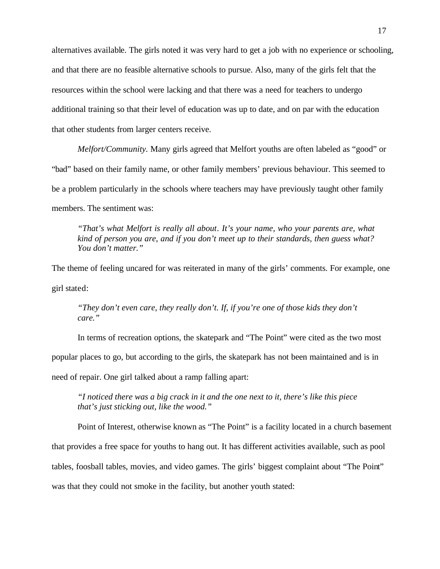alternatives available. The girls noted it was very hard to get a job with no experience or schooling, and that there are no feasible alternative schools to pursue. Also, many of the girls felt that the resources within the school were lacking and that there was a need for teachers to undergo additional training so that their level of education was up to date, and on par with the education that other students from larger centers receive.

*Melfort/Community.* Many girls agreed that Melfort youths are often labeled as "good" or "bad" based on their family name, or other family members' previous behaviour. This seemed to be a problem particularly in the schools where teachers may have previously taught other family members. The sentiment was:

*"That's what Melfort is really all about. It's your name, who your parents are, what kind of person you are, and if you don't meet up to their standards, then guess what? You don't matter."*

The theme of feeling uncared for was reiterated in many of the girls' comments. For example, one girl stated:

*"They don't even care, they really don't. If, if you're one of those kids they don't care."* 

In terms of recreation options, the skatepark and "The Point" were cited as the two most popular places to go, but according to the girls, the skatepark has not been maintained and is in need of repair. One girl talked about a ramp falling apart:

*"I noticed there was a big crack in it and the one next to it, there's like this piece that's just sticking out, like the wood."* 

Point of Interest, otherwise known as "The Point" is a facility located in a church basement that provides a free space for youths to hang out. It has different activities available, such as pool tables, foosball tables, movies, and video games. The girls' biggest complaint about "The Point" was that they could not smoke in the facility, but another youth stated: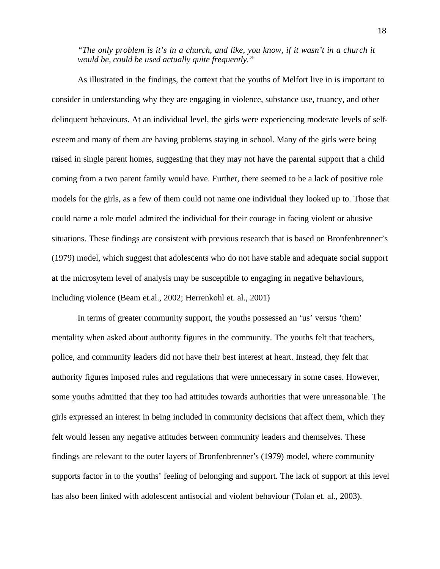*"The only problem is it's in a church, and like, you know, if it wasn't in a church it would be, could be used actually quite frequently."* 

As illustrated in the findings, the context that the youths of Melfort live in is important to consider in understanding why they are engaging in violence, substance use, truancy, and other delinquent behaviours. At an individual level, the girls were experiencing moderate levels of selfesteem and many of them are having problems staying in school. Many of the girls were being raised in single parent homes, suggesting that they may not have the parental support that a child coming from a two parent family would have. Further, there seemed to be a lack of positive role models for the girls, as a few of them could not name one individual they looked up to. Those that could name a role model admired the individual for their courage in facing violent or abusive situations. These findings are consistent with previous research that is based on Bronfenbrenner's (1979) model, which suggest that adolescents who do not have stable and adequate social support at the microsytem level of analysis may be susceptible to engaging in negative behaviours, including violence (Beam et.al., 2002; Herrenkohl et. al., 2001)

In terms of greater community support, the youths possessed an 'us' versus 'them' mentality when asked about authority figures in the community. The youths felt that teachers, police, and community leaders did not have their best interest at heart. Instead, they felt that authority figures imposed rules and regulations that were unnecessary in some cases. However, some youths admitted that they too had attitudes towards authorities that were unreasonable. The girls expressed an interest in being included in community decisions that affect them, which they felt would lessen any negative attitudes between community leaders and themselves. These findings are relevant to the outer layers of Bronfenbrenner's (1979) model, where community supports factor in to the youths' feeling of belonging and support. The lack of support at this level has also been linked with adolescent antisocial and violent behaviour (Tolan et. al., 2003).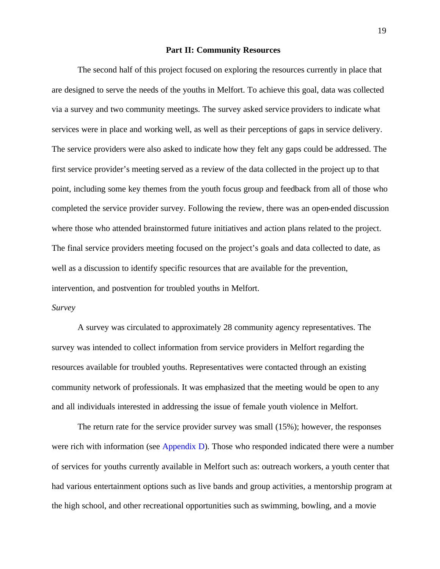### **Part II: Community Resources**

<span id="page-18-0"></span>The second half of this project focused on exploring the resources currently in place that are designed to serve the needs of the youths in Melfort. To achieve this goal, data was collected via a survey and two community meetings. The survey asked service providers to indicate what services were in place and working well, as well as their perceptions of gaps in service delivery. The service providers were also asked to indicate how they felt any gaps could be addressed. The first service provider's meeting served as a review of the data collected in the project up to that point, including some key themes from the youth focus group and feedback from all of those who completed the service provider survey. Following the review, there was an open-ended discussion where those who attended brainstormed future initiatives and action plans related to the project. The final service providers meeting focused on the project's goals and data collected to date, as well as a discussion to identify specific resources that are available for the prevention, intervention, and postvention for troubled youths in Melfort.

### *Survey*

A survey was circulated to approximately 28 community agency representatives. The survey was intended to collect information from service providers in Melfort regarding the resources available for troubled youths. Representatives were contacted through an existing community network of professionals. It was emphasized that the meeting would be open to any and all individuals interested in addressing the issue of female youth violence in Melfort.

The return rate for the service provider survey was small (15%); however, the responses were rich with information (see [Appendix D](#page-34-0)). Those who responded indicated there were a number of services for youths currently available in Melfort such as: outreach workers, a youth center that had various entertainment options such as live bands and group activities, a mentorship program at the high school, and other recreational opportunities such as swimming, bowling, and a movie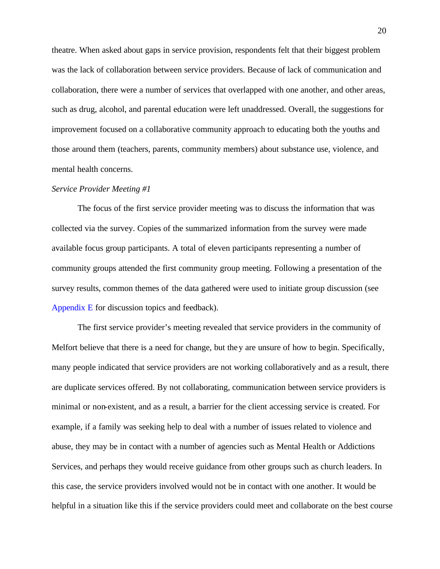theatre. When asked about gaps in service provision, respondents felt that their biggest problem was the lack of collaboration between service providers. Because of lack of communication and collaboration, there were a number of services that overlapped with one another, and other areas, such as drug, alcohol, and parental education were left unaddressed. Overall, the suggestions for improvement focused on a collaborative community approach to educating both the youths and those around them (teachers, parents, community members) about substance use, violence, and mental health concerns.

### *Service Provider Meeting #1*

The focus of the first service provider meeting was to discuss the information that was collected via the survey. Copies of the summarized information from the survey were made available focus group participants. A total of eleven participants representing a number of community groups attended the first community group meeting. Following a presentation of the survey results, common themes of the data gathered were used to initiate group discussion (see [Appendix E](#page-36-0) for discussion topics and feedback).

The first service provider's meeting revealed that service providers in the community of Melfort believe that there is a need for change, but they are unsure of how to begin. Specifically, many people indicated that service providers are not working collaboratively and as a result, there are duplicate services offered. By not collaborating, communication between service providers is minimal or non-existent, and as a result, a barrier for the client accessing service is created. For example, if a family was seeking help to deal with a number of issues related to violence and abuse, they may be in contact with a number of agencies such as Mental Health or Addictions Services, and perhaps they would receive guidance from other groups such as church leaders. In this case, the service providers involved would not be in contact with one another. It would be helpful in a situation like this if the service providers could meet and collaborate on the best course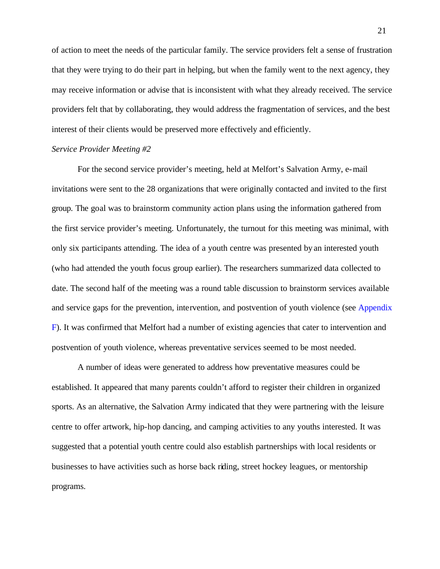of action to meet the needs of the particular family. The service providers felt a sense of frustration that they were trying to do their part in helping, but when the family went to the next agency, they may receive information or advise that is inconsistent with what they already received. The service providers felt that by collaborating, they would address the fragmentation of services, and the best interest of their clients would be preserved more effectively and efficiently.

### *Service Provider Meeting #2*

For the second service provider's meeting, held at Melfort's Salvation Army, e-mail invitations were sent to the 28 organizations that were originally contacted and invited to the first group. The goal was to brainstorm community action plans using the information gathered from the first service provider's meeting. Unfortunately, the turnout for this meeting was minimal, with only six participants attending. The idea of a youth centre was presented by an interested youth (who had attended the youth focus group earlier). The researchers summarized data collected to date. The second half of the meeting was a round table discussion to brainstorm services available and service gaps for the prevention, intervention, and postvention of youth violence (see [Appendix](#page-39-0) F). It was confirmed that Melfort had a number of existing agencies that cater to intervention and postvention of youth violence, whereas preventative services seemed to be most needed.

A number of ideas were generated to address how preventative measures could be established. It appeared that many parents couldn't afford to register their children in organized sports. As an alternative, the Salvation Army indicated that they were partnering with the leisure centre to offer artwork, hip-hop dancing, and camping activities to any youths interested. It was suggested that a potential youth centre could also establish partnerships with local residents or businesses to have activities such as horse back riding, street hockey leagues, or mentorship programs.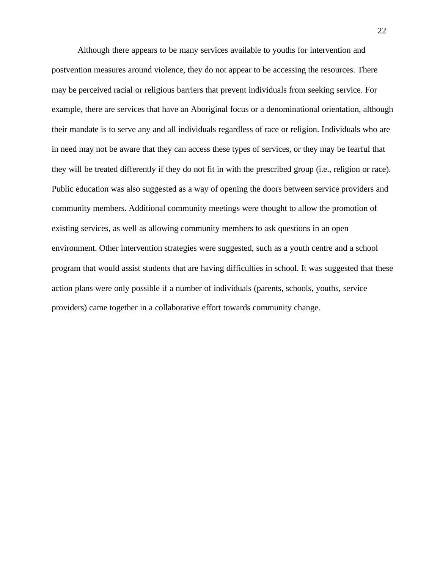Although there appears to be many services available to youths for intervention and postvention measures around violence, they do not appear to be accessing the resources. There may be perceived racial or religious barriers that prevent individuals from seeking service. For example, there are services that have an Aboriginal focus or a denominational orientation, although their mandate is to serve any and all individuals regardless of race or religion. Individuals who are in need may not be aware that they can access these types of services, or they may be fearful that they will be treated differently if they do not fit in with the prescribed group (i.e., religion or race). Public education was also suggested as a way of opening the doors between service providers and community members. Additional community meetings were thought to allow the promotion of existing services, as well as allowing community members to ask questions in an open environment. Other intervention strategies were suggested, such as a youth centre and a school program that would assist students that are having difficulties in school. It was suggested that these action plans were only possible if a number of individuals (parents, schools, youths, service providers) came together in a collaborative effort towards community change.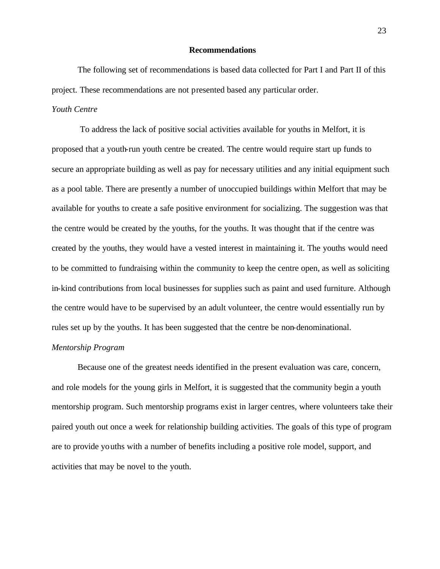### **Recommendations**

<span id="page-22-0"></span>The following set of recommendations is based data collected for Part I and Part II of this project. These recommendations are not presented based any particular order.

### *Youth Centre*

 To address the lack of positive social activities available for youths in Melfort, it is proposed that a youth-run youth centre be created. The centre would require start up funds to secure an appropriate building as well as pay for necessary utilities and any initial equipment such as a pool table. There are presently a number of unoccupied buildings within Melfort that may be available for youths to create a safe positive environment for socializing. The suggestion was that the centre would be created by the youths, for the youths. It was thought that if the centre was created by the youths, they would have a vested interest in maintaining it. The youths would need to be committed to fundraising within the community to keep the centre open, as well as soliciting in-kind contributions from local businesses for supplies such as paint and used furniture. Although the centre would have to be supervised by an adult volunteer, the centre would essentially run by rules set up by the youths. It has been suggested that the centre be non-denominational.

### *Mentorship Program*

Because one of the greatest needs identified in the present evaluation was care, concern, and role models for the young girls in Melfort, it is suggested that the community begin a youth mentorship program. Such mentorship programs exist in larger centres, where volunteers take their paired youth out once a week for relationship building activities. The goals of this type of program are to provide youths with a number of benefits including a positive role model, support, and activities that may be novel to the youth.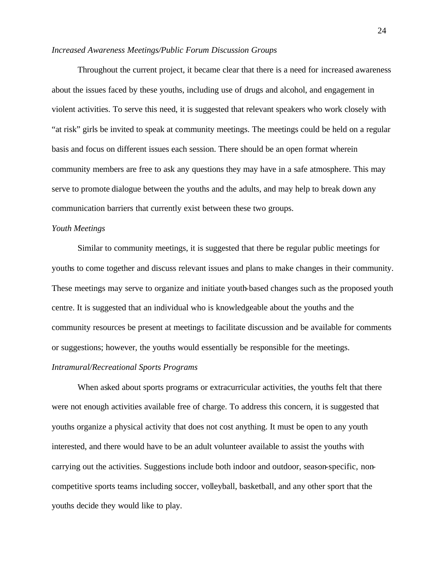### *Increased Awareness Meetings/Public Forum Discussion Groups*

Throughout the current project, it became clear that there is a need for increased awareness about the issues faced by these youths, including use of drugs and alcohol, and engagement in violent activities. To serve this need, it is suggested that relevant speakers who work closely with "at risk" girls be invited to speak at community meetings. The meetings could be held on a regular basis and focus on different issues each session. There should be an open format wherein community members are free to ask any questions they may have in a safe atmosphere. This may serve to promote dialogue between the youths and the adults, and may help to break down any communication barriers that currently exist between these two groups.

### *Youth Meetings*

Similar to community meetings, it is suggested that there be regular public meetings for youths to come together and discuss relevant issues and plans to make changes in their community. These meetings may serve to organize and initiate youth-based changes such as the proposed youth centre. It is suggested that an individual who is knowledgeable about the youths and the community resources be present at meetings to facilitate discussion and be available for comments or suggestions; however, the youths would essentially be responsible for the meetings.

### *Intramural/Recreational Sports Programs*

When asked about sports programs or extracurricular activities, the youths felt that there were not enough activities available free of charge. To address this concern, it is suggested that youths organize a physical activity that does not cost anything. It must be open to any youth interested, and there would have to be an adult volunteer available to assist the youths with carrying out the activities. Suggestions include both indoor and outdoor, season-specific, noncompetitive sports teams including soccer, volleyball, basketball, and any other sport that the youths decide they would like to play.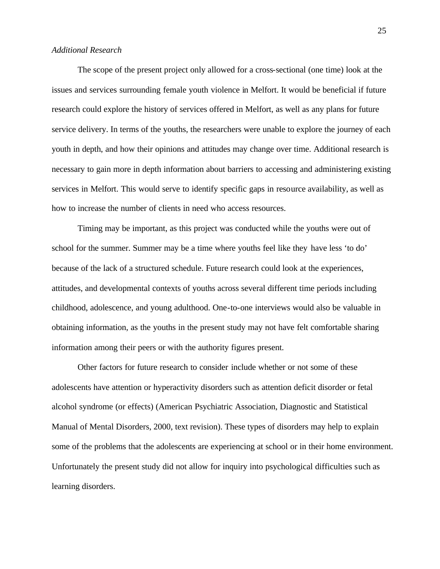### *Additional Research*

The scope of the present project only allowed for a cross-sectional (one time) look at the issues and services surrounding female youth violence in Melfort. It would be beneficial if future research could explore the history of services offered in Melfort, as well as any plans for future service delivery. In terms of the youths, the researchers were unable to explore the journey of each youth in depth, and how their opinions and attitudes may change over time. Additional research is necessary to gain more in depth information about barriers to accessing and administering existing services in Melfort. This would serve to identify specific gaps in resource availability, as well as how to increase the number of clients in need who access resources.

Timing may be important, as this project was conducted while the youths were out of school for the summer. Summer may be a time where youths feel like they have less 'to do' because of the lack of a structured schedule. Future research could look at the experiences, attitudes, and developmental contexts of youths across several different time periods including childhood, adolescence, and young adulthood. One-to-one interviews would also be valuable in obtaining information, as the youths in the present study may not have felt comfortable sharing information among their peers or with the authority figures present.

Other factors for future research to consider include whether or not some of these adolescents have attention or hyperactivity disorders such as attention deficit disorder or fetal alcohol syndrome (or effects) (American Psychiatric Association, Diagnostic and Statistical Manual of Mental Disorders, 2000, text revision). These types of disorders may help to explain some of the problems that the adolescents are experiencing at school or in their home environment. Unfortunately the present study did not allow for inquiry into psychological difficulties such as learning disorders.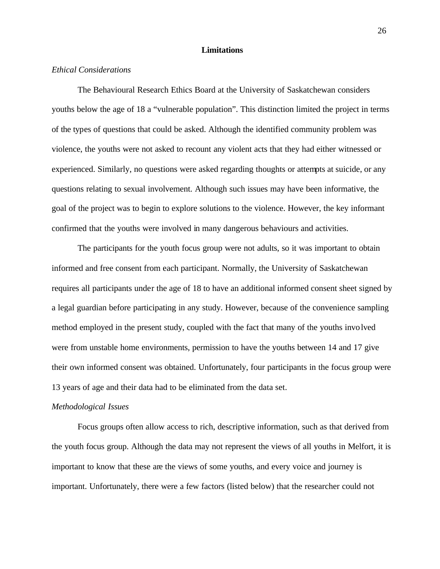### **Limitations**

### <span id="page-25-0"></span>*Ethical Considerations*

The Behavioural Research Ethics Board at the University of Saskatchewan considers youths below the age of 18 a "vulnerable population". This distinction limited the project in terms of the types of questions that could be asked. Although the identified community problem was violence, the youths were not asked to recount any violent acts that they had either witnessed or experienced. Similarly, no questions were asked regarding thoughts or attempts at suicide, or any questions relating to sexual involvement. Although such issues may have been informative, the goal of the project was to begin to explore solutions to the violence. However, the key informant confirmed that the youths were involved in many dangerous behaviours and activities.

The participants for the youth focus group were not adults, so it was important to obtain informed and free consent from each participant. Normally, the University of Saskatchewan requires all participants under the age of 18 to have an additional informed consent sheet signed by a legal guardian before participating in any study. However, because of the convenience sampling method employed in the present study, coupled with the fact that many of the youths involved were from unstable home environments, permission to have the youths between 14 and 17 give their own informed consent was obtained. Unfortunately, four participants in the focus group were 13 years of age and their data had to be eliminated from the data set.

# *Methodological Issues*

Focus groups often allow access to rich, descriptive information, such as that derived from the youth focus group. Although the data may not represent the views of all youths in Melfort, it is important to know that these are the views of some youths, and every voice and journey is important. Unfortunately, there were a few factors (listed below) that the researcher could not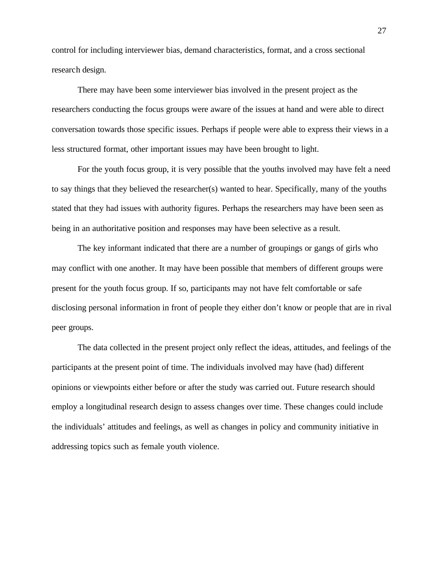control for including interviewer bias, demand characteristics, format, and a cross sectional research design.

There may have been some interviewer bias involved in the present project as the researchers conducting the focus groups were aware of the issues at hand and were able to direct conversation towards those specific issues. Perhaps if people were able to express their views in a less structured format, other important issues may have been brought to light.

For the youth focus group, it is very possible that the youths involved may have felt a need to say things that they believed the researcher(s) wanted to hear. Specifically, many of the youths stated that they had issues with authority figures. Perhaps the researchers may have been seen as being in an authoritative position and responses may have been selective as a result.

The key informant indicated that there are a number of groupings or gangs of girls who may conflict with one another. It may have been possible that members of different groups were present for the youth focus group. If so, participants may not have felt comfortable or safe disclosing personal information in front of people they either don't know or people that are in rival peer groups.

The data collected in the present project only reflect the ideas, attitudes, and feelings of the participants at the present point of time. The individuals involved may have (had) different opinions or viewpoints either before or after the study was carried out. Future research should employ a longitudinal research design to assess changes over time. These changes could include the individuals' attitudes and feelings, as well as changes in policy and community initiative in addressing topics such as female youth violence.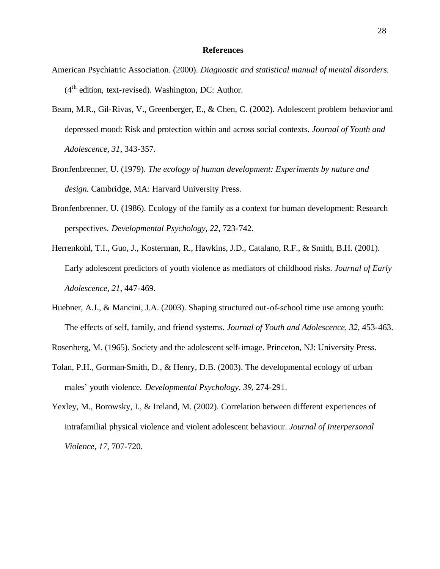### **References**

- <span id="page-27-0"></span>American Psychiatric Association. (2000). *Diagnostic and statistical manual of mental disorders*.  $(4<sup>th</sup>$  edition, text-revised). Washington, DC: Author.
- Beam, M.R., Gil-Rivas, V., Greenberger, E., & Chen, C. (2002). Adolescent problem behavior and depressed mood: Risk and protection within and across social contexts. *Journal of Youth and Adolescence, 31*, 343-357.
- Bronfenbrenner, U. (1979). *The ecology of human development: Experiments by nature and design.* Cambridge, MA: Harvard University Press.
- Bronfenbrenner, U. (1986). Ecology of the family as a context for human development: Research perspectives. *Developmental Psychology, 22*, 723-742.
- Herrenkohl, T.I., Guo, J., Kosterman, R., Hawkins, J.D., Catalano, R.F., & Smith, B.H. (2001). Early adolescent predictors of youth violence as mediators of childhood risks. *Journal of Early Adolescence, 21*, 447-469.
- Huebner, A.J., & Mancini, J.A. (2003). Shaping structured out-of-school time use among youth: The effects of self, family, and friend systems. *Journal of Youth and Adolescence, 32*, 453-463.

Rosenberg, M. (1965). Society and the adolescent self-image. Princeton, NJ: University Press.

- Tolan, P.H., Gorman-Smith, D., & Henry, D.B. (2003). The developmental ecology of urban males' youth violence. *Developmental Psychology, 39*, 274-291.
- Yexley, M., Borowsky, I., & Ireland, M. (2002). Correlation between different experiences of intrafamilial physical violence and violent adolescent behaviour. *Journal of Interpersonal Violence, 17*, 707-720.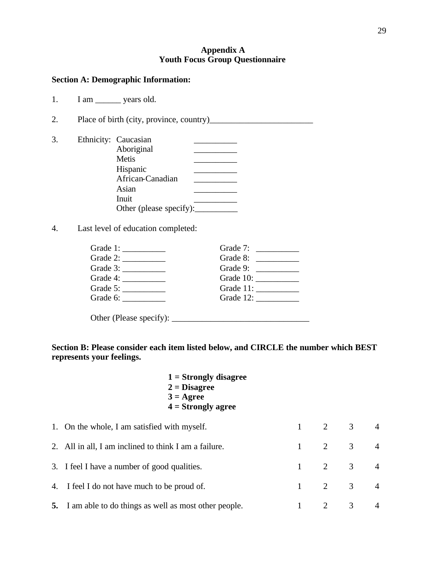# **Appendix A Youth Focus Group Questionnaire**

# <span id="page-28-0"></span>**Section A: Demographic Information:**

| 1 am | years old. |  |
|------|------------|--|
|      |            |  |

2. Place of birth (city, province, country)\_\_\_\_\_\_\_\_\_\_\_\_\_\_\_\_\_\_\_\_\_\_\_\_

| 3. | Ethnicity: Caucasian    |  |
|----|-------------------------|--|
|    | Aboriginal              |  |
|    | Metis                   |  |
|    | Hispanic                |  |
|    | African-Canadian        |  |
|    | Asian                   |  |
|    | Inuit                   |  |
|    | Other (please specify): |  |
|    |                         |  |

4. Last level of education completed:

| Grade 1: $\frac{1}{\sqrt{1-\frac{1}{2}} \cdot \frac{1}{2}}$ | Grade 7: $\frac{1}{\sqrt{1-\frac{1}{2}} \cdot \frac{1}{\sqrt{1-\frac{1}{2}} \cdot \frac{1}{2}} \cdot \frac{1}{\sqrt{1-\frac{1}{2}} \cdot \frac{1}{2}}$ |
|-------------------------------------------------------------|--------------------------------------------------------------------------------------------------------------------------------------------------------|
|                                                             | Grade 8: $\frac{1}{\sqrt{1-\frac{1}{2}} \cdot \frac{1}{2}}$                                                                                            |
| Grade 3: $\frac{1}{\sqrt{1-\frac{1}{2}} \cdot \frac{1}{2}}$ | Grade 9: $\frac{1}{\sqrt{1-\frac{1}{2}} \cdot \frac{1}{2}}$                                                                                            |
| Grade 4: $\frac{1}{\sqrt{2\pi}}$                            |                                                                                                                                                        |
| Grade 5: $\frac{2}{1}$                                      |                                                                                                                                                        |
| Grade 6: $\_\_$                                             |                                                                                                                                                        |
|                                                             |                                                                                                                                                        |
|                                                             |                                                                                                                                                        |

**Section B: Please consider each item listed below, and CIRCLE the number which BEST represents your feelings.** 

| $1 =$ Strongly disagree<br>$2 = Disagree$<br>$3 = \text{Agree}$<br>$4 =$ Strongly agree |                        |                       |                       |                |
|-----------------------------------------------------------------------------------------|------------------------|-----------------------|-----------------------|----------------|
| 1. On the whole, I am satisfied with myself.                                            | $1 \qquad \qquad$      |                       | $2 \qquad 3 \qquad 4$ |                |
| 2. All in all, I am inclined to think I am a failure.                                   | $\mathbf{1}$           | 2 3                   |                       | $\overline{4}$ |
| 3. I feel I have a number of good qualities.                                            |                        | $1 \qquad 2 \qquad 3$ |                       | $\overline{4}$ |
| 4. I feel I do not have much to be proud of.                                            | $1 \quad \blacksquare$ | 2 3                   |                       | $\overline{4}$ |
| <b>5.</b> I am able to do things as well as most other people.                          | 1                      | 2                     | $\mathfrak{Z}$        | $\overline{4}$ |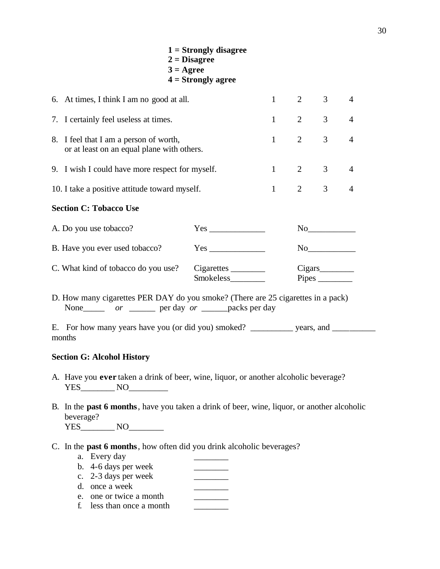| $3 = \text{Agree}$                                                                   | $1 =$ Strongly disagree<br>$2 = Disagree$<br>$4 =$ Strongly agree |                       |                |                |  |
|--------------------------------------------------------------------------------------|-------------------------------------------------------------------|-----------------------|----------------|----------------|--|
| 6. At times, I think I am no good at all.                                            |                                                                   | $1 \t 2 \t 3 \t 4$    |                |                |  |
| 7. I certainly feel useless at times.                                                |                                                                   | $1 \qquad 2 \qquad 3$ |                | $\overline{4}$ |  |
| 8. I feel that I am a person of worth,<br>or at least on an equal plane with others. |                                                                   | $1 \qquad 2$          | 3 <sup>7</sup> | $\overline{4}$ |  |
| 9. I wish I could have more respect for myself.                                      |                                                                   | $1 \quad 2 \quad 3$   |                | $\overline{4}$ |  |
| 10. I take a positive attitude toward myself.                                        |                                                                   | $1 \qquad 2 \qquad 3$ |                | $\overline{4}$ |  |
| <b>Section C: Tobacco Use</b>                                                        |                                                                   |                       |                |                |  |
| A. Do you use tobacco?                                                               |                                                                   |                       | No             |                |  |
| B. Have you ever used tobacco?                                                       |                                                                   |                       | No             |                |  |
| C. What kind of tobacco do you use?                                                  | Cigarettes<br>Smokeless_________                                  |                       |                |                |  |

D. How many cigarettes PER DAY do you smoke? (There are 25 cigarettes in a pack) None\_\_\_\_\_ *or* \_\_\_\_\_\_ per day *or* \_\_\_\_\_packs per day

E. For how many years have you (or did you) smoked? \_\_\_\_\_\_\_\_\_ years, and \_\_\_\_\_\_\_\_ months

### **Section G: Alcohol History**

- A. Have you **ever** taken a drink of beer, wine, liquor, or another alcoholic beverage? YES\_\_\_\_\_\_\_\_ NO\_\_\_\_\_\_\_\_\_
- B. In the **past 6 months**, have you taken a drink of beer, wine, liquor, or another alcoholic beverage? YES\_\_\_\_\_\_\_\_\_\_ NO\_\_\_\_\_\_\_\_\_\_\_
- C. In the **past 6 months**, how often did you drink alcoholic beverages?
	- a. Every day
	- b. 4-6 days per week
	- c. 2-3 days per week \_\_\_\_\_\_\_\_
	- d. once a week
	- e. one or twice a month  $\qquad \qquad \qquad$
	- f. less than once a month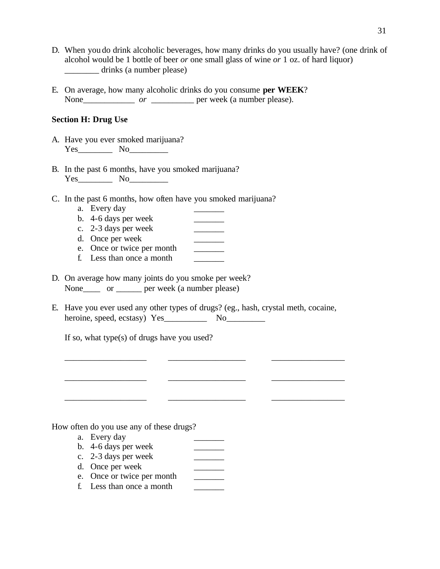- D. When you do drink alcoholic beverages, how many drinks do you usually have? (one drink of alcohol would be 1 bottle of beer *or* one small glass of wine *or* 1 oz. of hard liquor) \_\_\_\_\_\_\_\_ drinks (a number please)
- E. On average, how many alcoholic drinks do you consume **per WEEK**? None\_\_\_\_\_\_\_\_\_\_\_\_\_\_\_\_ *or* \_\_\_\_\_\_\_\_\_\_\_ per week (a number please).

# **Section H: Drug Use**

- A. Have you ever smoked marijuana? Yes\_\_\_\_\_\_\_\_ No\_\_\_\_\_\_\_\_\_
- B. In the past 6 months, have you smoked marijuana? Yes\_\_\_\_\_\_\_\_ No\_\_\_\_\_\_\_\_\_
- C. In the past 6 months, how often have you smoked marijuana?
	- a. Every day
	-
	- b. 4-6 days per week \_\_\_\_\_\_\_ c. 2-3 days per week
	- d. Once per week \_\_\_\_\_\_\_
	- e. Once or twice per month \_\_\_\_\_\_\_
	- f. Less than once a month
- D. On average how many joints do you smoke per week? None\_\_\_\_\_ or \_\_\_\_\_\_ per week (a number please)
- E. Have you ever used any other types of drugs? (eg., hash, crystal meth, cocaine, heroine, speed, ecstasy) Yes No

 $\overline{\phantom{a}}$  ,  $\overline{\phantom{a}}$  ,  $\overline{\phantom{a}}$  ,  $\overline{\phantom{a}}$  ,  $\overline{\phantom{a}}$  ,  $\overline{\phantom{a}}$  ,  $\overline{\phantom{a}}$  ,  $\overline{\phantom{a}}$  ,  $\overline{\phantom{a}}$  ,  $\overline{\phantom{a}}$  ,  $\overline{\phantom{a}}$  ,  $\overline{\phantom{a}}$  ,  $\overline{\phantom{a}}$  ,  $\overline{\phantom{a}}$  ,  $\overline{\phantom{a}}$  ,  $\overline{\phantom{a}}$ 

\_\_\_\_\_\_\_\_\_\_\_\_\_\_\_\_\_\_\_ \_\_\_\_\_\_\_\_\_\_\_\_\_\_\_\_\_\_ \_\_\_\_\_\_\_\_\_\_\_\_\_\_\_\_\_

\_\_\_\_\_\_\_\_\_\_\_\_\_\_\_\_\_\_\_ \_\_\_\_\_\_\_\_\_\_\_\_\_\_\_\_\_\_ \_\_\_\_\_\_\_\_\_\_\_\_\_\_\_\_\_

If so, what type(s) of drugs have you used?

How often do you use any of these drugs?

- a. Every day
- b. 4-6 days per week \_\_\_\_\_\_\_
- c. 2-3 days per week \_\_\_\_\_\_\_
- d. Once per week
- e. Once or twice per month \_\_\_\_\_\_\_
- f. Less than once a month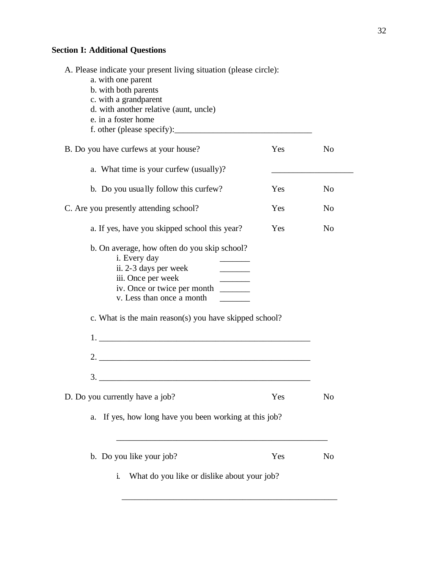# **Section I: Additional Questions**

| A. Please indicate your present living situation (please circle):<br>a. with one parent<br>b. with both parents<br>c. with a grandparent<br>d. with another relative (aunt, uncle)<br>e. in a foster home                                                                                                 |     |                |
|-----------------------------------------------------------------------------------------------------------------------------------------------------------------------------------------------------------------------------------------------------------------------------------------------------------|-----|----------------|
| B. Do you have curfews at your house?                                                                                                                                                                                                                                                                     | Yes | N <sub>o</sub> |
| a. What time is your curfew (usually)?                                                                                                                                                                                                                                                                    |     |                |
| b. Do you usually follow this curfew?                                                                                                                                                                                                                                                                     | Yes | N <sub>0</sub> |
| C. Are you presently attending school?                                                                                                                                                                                                                                                                    | Yes | N <sub>0</sub> |
| a. If yes, have you skipped school this year?                                                                                                                                                                                                                                                             | Yes | N <sub>0</sub> |
| b. On average, how often do you skip school?<br>i. Every day<br>ii. 2-3 days per week<br>$\overline{\phantom{a}}$<br>iii. Once per week<br>iv. Once or twice per month<br>$\frac{1}{2}$ . The set of $\frac{1}{2}$<br>v. Less than once a month<br>c. What is the main reason(s) you have skipped school? |     |                |
| 2.                                                                                                                                                                                                                                                                                                        |     |                |
| $\frac{3}{2}$<br>D. Do you currently have a job?<br>If yes, how long have you been working at this job?<br>a.                                                                                                                                                                                             | Yes | No             |
|                                                                                                                                                                                                                                                                                                           |     |                |
| b. Do you like your job?                                                                                                                                                                                                                                                                                  | Yes | No             |
| What do you like or dislike about your job?<br>i.                                                                                                                                                                                                                                                         |     |                |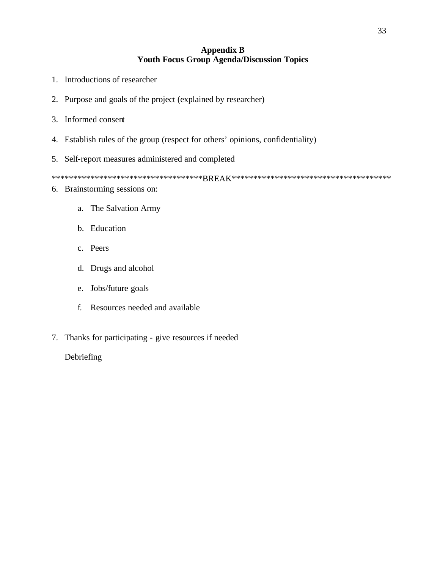# **Appendix B Youth Focus Group Agenda/Discussion Topics**

- <span id="page-32-0"></span>1. Introductions of researcher
- 2. Purpose and goals of the project (explained by researcher)
- 3. Informed consent
- 4. Establish rules of the group (respect for others' opinions, confidentiality)
- 5. Self-report measures administered and completed

\*\*\*\*\*\*\*\*\*\*\*\*\*\*\*\*\*\*\*\*\*\*\*\*\*\*\*\*\*\*\*\*\*\*\*BREAK\*\*\*\*\*\*\*\*\*\*\*\*\*\*\*\*\*\*\*\*\*\*\*\*\*\*\*\*\*\*\*\*\*\*\*\*\*

- 6. Brainstorming sessions on:
	- a. The Salvation Army
	- b. Education
	- c. Peers
	- d. Drugs and alcohol
	- e. Jobs/future goals
	- f. Resources needed and available
- 7. Thanks for participating give resources if needed

# Debriefing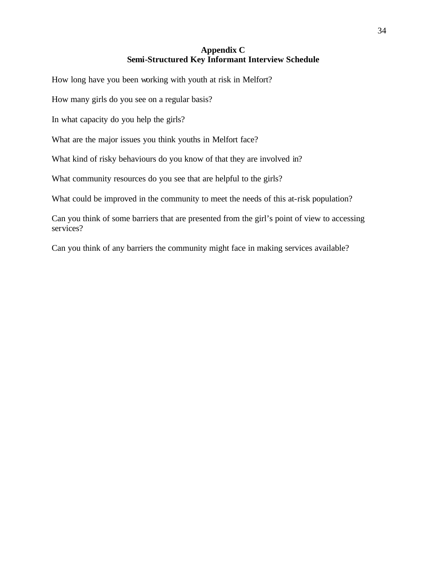# **Appendix C Semi-Structured Key Informant Interview Schedule**

<span id="page-33-0"></span>How long have you been working with youth at risk in Melfort?

How many girls do you see on a regular basis?

In what capacity do you help the girls?

What are the major issues you think youths in Melfort face?

What kind of risky behaviours do you know of that they are involved in?

What community resources do you see that are helpful to the girls?

What could be improved in the community to meet the needs of this at-risk population?

Can you think of some barriers that are presented from the girl's point of view to accessing services?

Can you think of any barriers the community might face in making services available?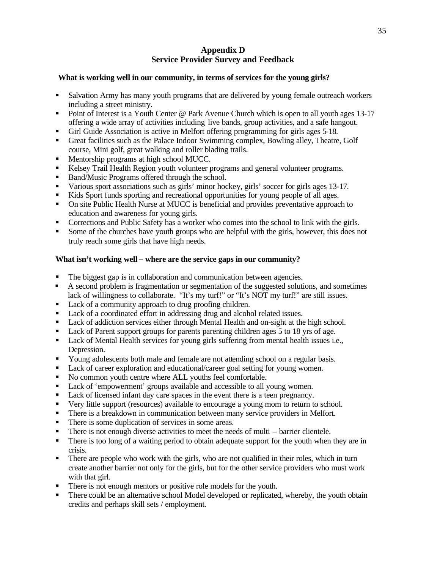# **Appendix D Service Provider Survey and Feedback**

# <span id="page-34-0"></span>**What is working well in our community, in terms of services for the young girls?**

- **Salvation Army has many youth programs that are delivered by young female outreach workers** including a street ministry.
- Point of Interest is a Youth Center  $\omega$  Park Avenue Church which is open to all youth ages 13-17 offering a wide array of activities including live bands, group activities, and a safe hangout.
- ß Girl Guide Association is active in Melfort offering programming for girls ages 5-18.
- ß Great facilities such as the Palace Indoor Swimming complex, Bowling alley, Theatre, Golf course, Mini golf, great walking and roller blading trails.
- **Mentorship programs at high school MUCC.**
- **EXECT** Kelsey Trail Health Region youth volunteer programs and general volunteer programs.
- Band/Music Programs offered through the school.
- ß Various sport associations such as girls' minor hockey, girls' soccer for girls ages 13-17.
- Kids Sport funds sporting and recreational opportunities for young people of all ages.
- On site Public Health Nurse at MUCC is beneficial and provides preventative approach to education and awareness for young girls.
- Corrections and Public Safety has a worker who comes into the school to link with the girls.
- Some of the churches have youth groups who are helpful with the girls, however, this does not truly reach some girls that have high needs.

# **What isn't working well – where are the service gaps in our community?**

- The biggest gap is in collaboration and communication between agencies.
- **A** second problem is fragmentation or segmentation of the suggested solutions, and sometimes lack of willingness to collaborate. "It's my turf!" or "It's NOT my turf!" are still issues.
- Lack of a community approach to drug proofing children.
- Lack of a coordinated effort in addressing drug and alcohol related issues.
- **Lack of addiction services either through Mental Health and on-sight at the high school.**
- **Lack of Parent support groups for parents parenting children ages 5 to 18 yrs of age.**
- **Lack of Mental Health services for young girls suffering from mental health issues i.e.,** Depression.
- **Solution** Young adolescents both male and female are not attending school on a regular basis.
- Lack of career exploration and educational/career goal setting for young women.
- No common youth centre where ALL youths feel comfortable.
- Lack of 'empowerment' groups available and accessible to all young women.
- Lack of licensed infant day care spaces in the event there is a teen pregnancy.
- ß Very little support (resources) available to encourage a young mom to return to school.
- **•** There is a breakdown in communication between many service providers in Melfort.
- There is some duplication of services in some areas.
- $\blacksquare$  There is not enough diverse activities to meet the needs of multi barrier clientele.
- There is too long of a waiting period to obtain adequate support for the youth when they are in crisis.
- There are people who work with the girls, who are not qualified in their roles, which in turn create another barrier not only for the girls, but for the other service providers who must work with that girl.
- There is not enough mentors or positive role models for the youth.
- There could be an alternative school Model developed or replicated, whereby, the youth obtain credits and perhaps skill sets / employment.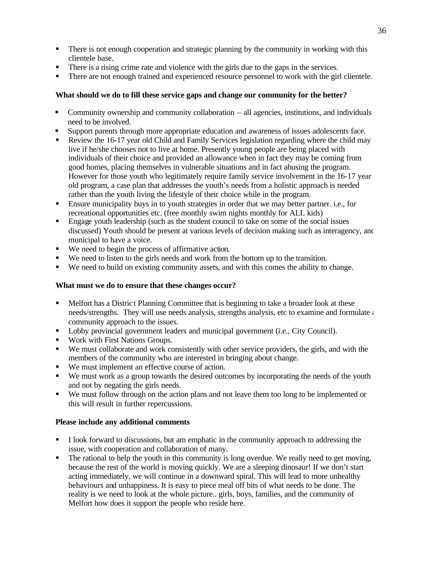- There is not enough cooperation and strategic planning by the community in working with this clientele base.
- There is a rising crime rate and violence with the girls due to the gaps in the services.
- There are not enough trained and experienced resource personnel to work with the girl clientele.

# **What should we do to fill these service gaps and change our community for the better?**

- **•** Community ownership and community collaboration all agencies, institutions, and individuals need to be involved.
- ß Support parents through more appropriate education and awareness of issues adolescents face.
- Review the 16-17 year old Child and Family Services legislation regarding where the child may live if he/she chooses not to live at home. Presently young people are being placed with individuals of their choice and provided an allowance when in fact they may be coming from good homes, placing themselves in vulnerable situations and in fact abusing the program. However for those youth who legitimately require family service involvement in the 16-17 year old program, a case plan that addresses the youth's needs from a holistic approach is needed rather than the youth living the lifestyle of their choice while in the program.
- ß Ensure municipality buys in to youth strategies in order that we may better partner. i.e., for recreational opportunities etc. (free monthly swim nights monthly for ALL kids)
- **Engage youth leadership (such as the student council to take on some of the social issues** discussed) Youth should be present at various levels of decision making such as interagency, and municipal to have a voice.
- We need to begin the process of affirmative action.
- We need to listen to the girls needs and work from the bottom up to the transition.
- ß We need to build on existing community assets, and with this comes the ability to change.

# **What must we do to ensure that these changes occur?**

- **•** Melfort has a District Planning Committee that is beginning to take a broader look at these needs/strengths. They will use needs analysis, strengths analysis, etc to examine and formulate a community approach to the issues.
- **•** Lobby provincial government leaders and municipal government (i.e., City Council).
- **Work with First Nations Groups.**
- ß We must collaborate and work consistently with other service providers, the girls, and with the members of the community who are interested in bringing about change.
- We must implement an effective course of action.
- We must work as a group towards the desired outcomes by incorporating the needs of the youth and not by negating the girls needs.
- We must follow through on the action plans and not leave them too long to be implemented or this will result in further repercussions.

### **Please include any additional comments**

- I look forward to discussions, but am emphatic in the community approach to addressing the issue, with cooperation and collaboration of many.
- The rational to help the youth in this community is long overdue. We really need to get moving, because the rest of the world is moving quickly. We are a sleeping dinosaur! If we don't start acting immediately, we will continue in a downward spiral. This will lead to more unhealthy behaviours and unhappiness. It is easy to piece meal off bits of what needs to be done. The reality is we need to look at the whole picture.. girls, boys, families, and the community of Melfort how does it support the people who reside here.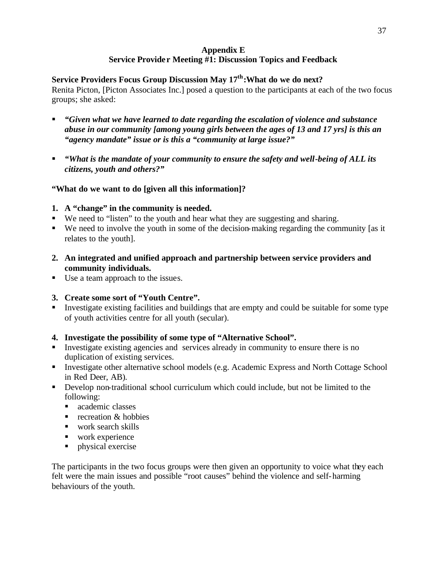# **Appendix E Service Provider Meeting #1: Discussion Topics and Feedback**

# <span id="page-36-0"></span>**Service Providers Focus Group Discussion May 17th:What do we do next?**

Renita Picton, [Picton Associates Inc.] posed a question to the participants at each of the two focus groups; she asked:

- ß *"Given what we have learned to date regarding the escalation of violence and substance abuse in our community [among young girls between the ages of 13 and 17 yrs] is this an "agency mandate" issue or is this a "community at large issue?"*
- *"What is the mandate of your community to ensure the safety and well-being of ALL its citizens, youth and others?"*

# **"What do we want to do [given all this information]?**

- **1. A "change" in the community is needed.**
- We need to "listen" to the youth and hear what they are suggesting and sharing.
- We need to involve the youth in some of the decision-making regarding the community [as it relates to the youth].
- **2. An integrated and unified approach and partnership between service providers and community individuals.**
- $\blacksquare$  Use a team approach to the issues.
- **3. Create some sort of "Youth Centre".**
- Investigate existing facilities and buildings that are empty and could be suitable for some type of youth activities centre for all youth (secular).
- **4. Investigate the possibility of some type of "Alternative School".**
- Investigate existing agencies and services already in community to ensure there is no duplication of existing services.
- **Investigate other alternative school models (e.g. Academic Express and North Cottage School** in Red Deer, AB).
- ß Develop non-traditional school curriculum which could include, but not be limited to the following:
	- academic classes
	- $recreation & hobbies$
	- $\blacksquare$  work search skills
	- $\blacksquare$  work experience
	- $\n$  physical exercise

The participants in the two focus groups were then given an opportunity to voice what they each felt were the main issues and possible "root causes" behind the violence and self-harming behaviours of the youth.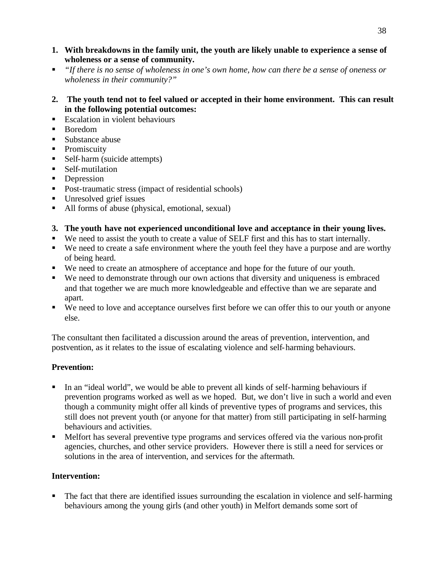- **1. With breakdowns in the family unit, the youth are likely unable to experience a sense of wholeness or a sense of community.**
- ß *"If there is no sense of wholeness in one's own home, how can there be a sense of oneness or wholeness in their community?"*
- **2. The youth tend not to feel valued or accepted in their home environment. This can result in the following potential outcomes:**
- **Escalation in violent behaviours**
- ß Boredom
- Substance abuse
- Promiscuity
- $\blacksquare$  Self-harm (suicide attempts)
- $\blacksquare$  Self-mutilation
- **Depression**
- **•** Post-traumatic stress (impact of residential schools)
- **If** Unresolved grief issues
- All forms of abuse (physical, emotional, sexual)
- **3. The youth have not experienced unconditional love and acceptance in their young lives.**
- We need to assist the youth to create a value of SELF first and this has to start internally.
- We need to create a safe environment where the youth feel they have a purpose and are worthy of being heard.
- We need to create an atmosphere of acceptance and hope for the future of our youth.
- ß We need to demonstrate through our own actions that diversity and uniqueness is embraced and that together we are much more knowledgeable and effective than we are separate and apart.
- We need to love and acceptance ourselves first before we can offer this to our youth or anyone else.

The consultant then facilitated a discussion around the areas of prevention, intervention, and postvention, as it relates to the issue of escalating violence and self-harming behaviours.

# **Prevention:**

- ß In an "ideal world", we would be able to prevent all kinds of self-harming behaviours if prevention programs worked as well as we hoped. But, we don't live in such a world and even though a community might offer all kinds of preventive types of programs and services, this still does not prevent youth (or anyone for that matter) from still participating in self-harming behaviours and activities.
- **•** Melfort has several preventive type programs and services offered via the various non-profit agencies, churches, and other service providers. However there is still a need for services or solutions in the area of intervention, and services for the aftermath.

# **Intervention:**

ß The fact that there are identified issues surrounding the escalation in violence and self-harming behaviours among the young girls (and other youth) in Melfort demands some sort of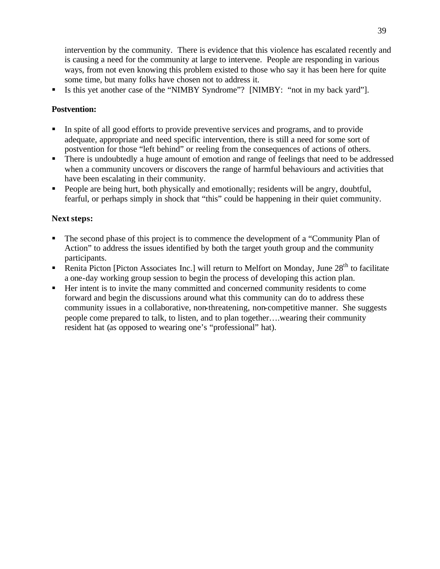intervention by the community. There is evidence that this violence has escalated recently and is causing a need for the community at large to intervene. People are responding in various ways, from not even knowing this problem existed to those who say it has been here for quite some time, but many folks have chosen not to address it.

ß Is this yet another case of the "NIMBY Syndrome"? [NIMBY: "not in my back yard"].

# **Postvention:**

- ß In spite of all good efforts to provide preventive services and programs, and to provide adequate, appropriate and need specific intervention, there is still a need for some sort of postvention for those "left behind" or reeling from the consequences of actions of others.
- ß There is undoubtedly a huge amount of emotion and range of feelings that need to be addressed when a community uncovers or discovers the range of harmful behaviours and activities that have been escalating in their community.
- ß People are being hurt, both physically and emotionally; residents will be angry, doubtful, fearful, or perhaps simply in shock that "this" could be happening in their quiet community.

# **Next steps:**

- ß The second phase of this project is to commence the development of a "Community Plan of Action" to address the issues identified by both the target youth group and the community participants.
- Renita Picton [Picton Associates Inc.] will return to Melfort on Monday, June 28<sup>th</sup> to facilitate a one-day working group session to begin the process of developing this action plan.
- ß Her intent is to invite the many committed and concerned community residents to come forward and begin the discussions around what this community can do to address these community issues in a collaborative, non-threatening, non-competitive manner. She suggests people come prepared to talk, to listen, and to plan together….wearing their community resident hat (as opposed to wearing one's "professional" hat).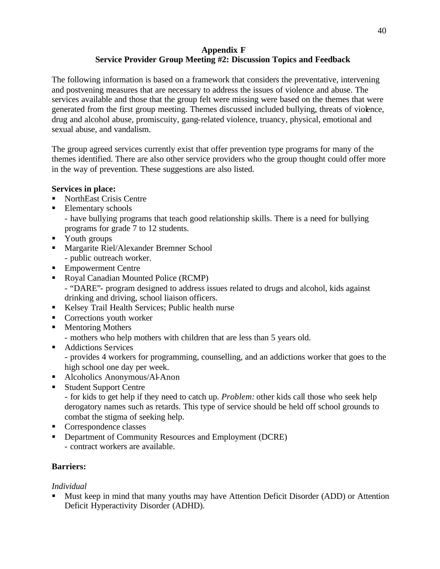# **Appendix F Service Provider Group Meeting #2: Discussion Topics and Feedback**

<span id="page-39-0"></span>The following information is based on a framework that considers the preventative, intervening and postvening measures that are necessary to address the issues of violence and abuse. The services available and those that the group felt were missing were based on the themes that were generated from the first group meeting. Themes discussed included bullying, threats of violence, drug and alcohol abuse, promiscuity, gang-related violence, truancy, physical, emotional and sexual abuse, and vandalism.

The group agreed services currently exist that offer prevention type programs for many of the themes identified. There are also other service providers who the group thought could offer more in the way of prevention. These suggestions are also listed.

# **Services in place:**

- NorthEast Crisis Centre
- Elementary schools

- have bullying programs that teach good relationship skills. There is a need for bullying programs for grade 7 to 12 students.

- Youth groups
- **Karakhara Margarite Riel/Alexander Bremner School** - public outreach worker.
- Empowerment Centre
- Royal Canadian Mounted Police (RCMP)

- "DARE"- program designed to address issues related to drugs and alcohol, kids against drinking and driving, school liaison officers.

- Kelsey Trail Health Services; Public health nurse
- **Corrections youth worker**
- Mentoring Mothers
	- mothers who help mothers with children that are less than 5 years old.
- **Addictions Services**

- provides 4 workers for programming, counselling, and an addictions worker that goes to the high school one day per week.

- Alcoholics Anonymous/Al-Anon
- Student Support Centre

- for kids to get help if they need to catch up. *Problem:* other kids call those who seek help derogatory names such as retards. This type of service should be held off school grounds to combat the stigma of seeking help.

- **Correspondence classes**
- **•** Department of Community Resources and Employment (DCRE) - contract workers are available.

# **Barriers:**

# *Individual*

ß Must keep in mind that many youths may have Attention Deficit Disorder (ADD) or Attention Deficit Hyperactivity Disorder (ADHD).